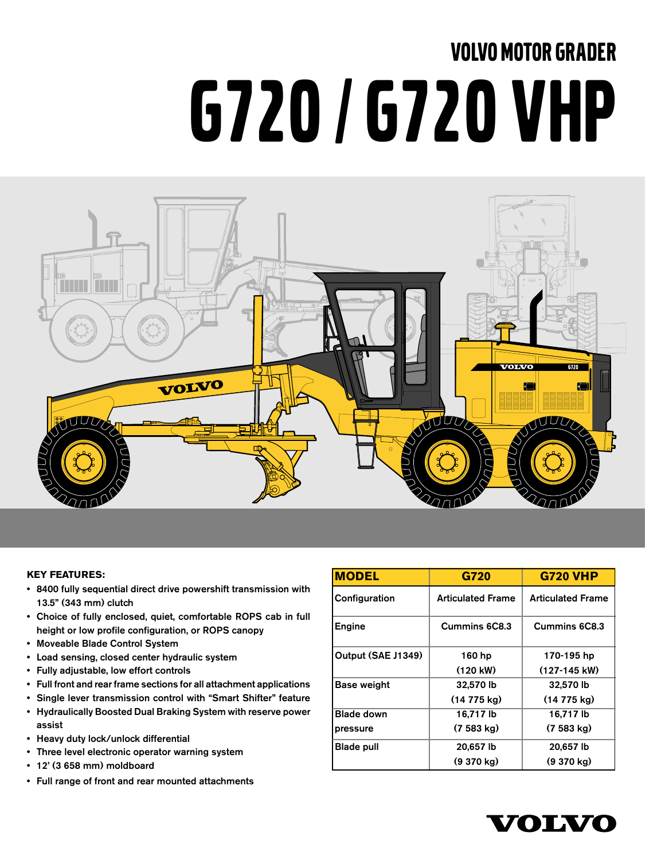# VOLVO MOTOR GRADER G720 / G720 VHP



#### **KEY FEATURES:**

- 8400 fully sequential direct drive powershift transmission with 13.5" (343 mm) clutch
- Choice of fully enclosed, quiet, comfortable ROPS cab in full height or low profile configuration, or ROPS canopy
- Moveable Blade Control System
- Load sensing, closed center hydraulic system
- Fully adjustable, low effort controls
- Full front and rear frame sections for all attachment applications
- Single lever transmission control with "Smart Shifter" feature
- Hydraulically Boosted Dual Braking System with reserve power assist
- Heavy duty lock/unlock differential
- Three level electronic operator warning system
- 12' (3 658 mm) moldboard
- Full range of front and rear mounted attachments

| <b>MODEL</b>       | G720                     | <b>G720 VHP</b>          |
|--------------------|--------------------------|--------------------------|
| Configuration      | <b>Articulated Frame</b> | <b>Articulated Frame</b> |
| Engine             | Cummins 6C8.3            | Cummins 6C8.3            |
| Output (SAE J1349) | 160 hp                   | 170-195 hp               |
|                    | $(120 \text{ kW})$       | $(127-145$ kW)           |
| Base weight        | 32,570 lb                | 32,570 lb                |
|                    | $(14775 \text{ ka})$     | (14 775 kg)              |
| <b>Blade down</b>  | 16.717 lb                | 16,717 lb                |
| pressure           | $(7583 \text{ kg})$      | $(7583 \text{ kg})$      |
| <b>Blade pull</b>  | 20,657 lb                | 20,657 lb                |
|                    | $(9370 \text{ kg})$      | $(9370 \text{ kg})$      |

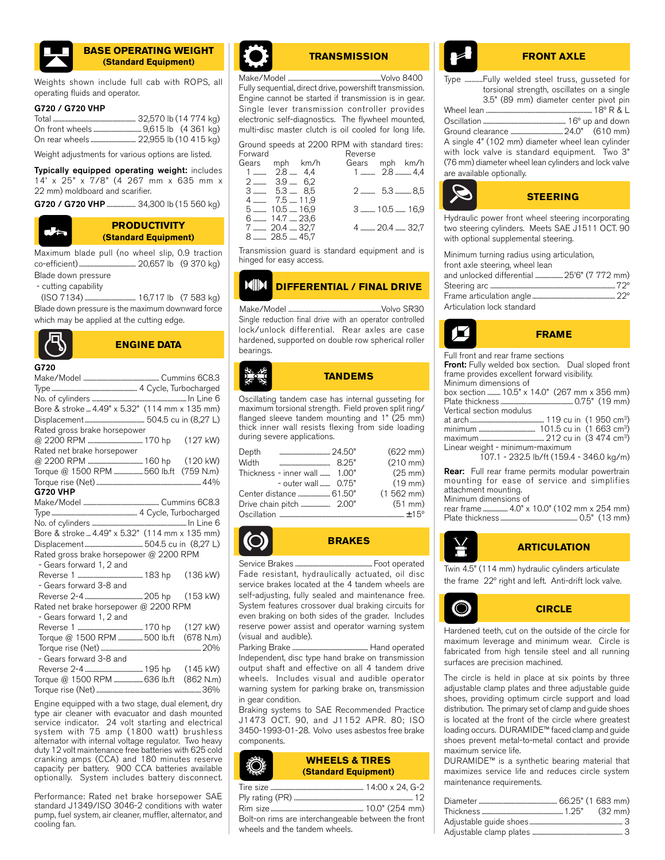

#### **BASE OPERATING WEIGHT (Standard Equipment)**

Weights shown include full cab with ROPS, all operating fluids and operator.

#### G720 / G720 VHP

Weight adjustments for various options are listed.

Typically equipped operating weight: includes 14' x 25" x 7/8" (4 267 mm x 635 mm x 22 mm) moldboard and scarifier.

G720 / G720 VHP ...................... 34,300 lb (15 560 kg)



#### **PRODUCTIVITY (Standard Equipment)**

Maximum blade pull (no wheel slip, 0.9 traction co-efficient) ....................................... 20,657 lb (9 370 kg)

Blade down pressure

- cutting capability

 (ISO 7134) ................................... 16,717 lb (7 583 kg) Blade down pressure is the maximum downward force which may be applied at the cutting edge.



**ENGINE DATA**

#### G720

| uzv                                            |
|------------------------------------------------|
|                                                |
|                                                |
|                                                |
| Bore & stroke  4.49" x 5.32" (114 mm x 135 mm) |
|                                                |
| Rated gross brake horsepower                   |
|                                                |
| Rated net brake horsepower                     |
|                                                |
| Torque @ 1500 RPM 560 lb.ft (759 N.m)          |
|                                                |
| <b>G720 VHP</b>                                |
|                                                |
|                                                |
|                                                |
| Bore & stroke  4.49" x 5.32" (114 mm x 135 mm) |
|                                                |
| Rated gross brake horsepower @ 2200 RPM        |
| - Gears forward 1, 2 and                       |
| $(136 \text{ kW})$                             |
| - Gears forward 3-8 and                        |
|                                                |
| Rated net brake horsepower @ 2200 RPM          |
| - Gears forward 1, 2 and                       |
|                                                |
| Torque @ 1500 RPM 500 lb.ft (678 N.m)          |
|                                                |
| - Gears forward 3-8 and                        |
|                                                |
| Torque @ 1500 RPM  636 lb.ft (862 N.m)         |
|                                                |

Engine equipped with a two stage, dual element, dry type air cleaner with evacuator and dash mounted service indicator. 24 volt starting and electrical system with 75 amp (1800 watt) brushless alternator with internal voltage regulator. Two heavy duty 12 volt maintenance free batteries with 625 cold cranking amps (CCA) and 180 minutes reserve capacity per battery. 900 CCA batteries available optionally. System includes battery disconnect.

Performance: Rated net brake horsepower SAE standard J1349/ISO 3046-2 conditions with water pump, fuel system, air cleaner, muffler, alternator, and cooling fan.



#### **TRANSMISSION**

Fully sequential, direct drive, powershift transmission. Engine cannot be started if transmission is in gear. Single lever transmission controller provides electronic self-diagnostics. The flywheel mounted, multi-disc master clutch is oil cooled for long life.

|                |               | Ground speeds at 2200 RPM with standard tires: |               |  |
|----------------|---------------|------------------------------------------------|---------------|--|
| Forward        |               | Reverse                                        |               |  |
| Gears mph km/h |               | Gears mph km/h                                 |               |  |
|                | $1$ 2.8  4.4  |                                                | 1  2.8  4,4   |  |
|                | $2$ 3.9  6.2  |                                                |               |  |
|                | 3  5.3  8.5   |                                                | 2  5.3  8,5   |  |
|                | 4  7.5  11.9  |                                                |               |  |
|                | 5  10.5  16,9 |                                                | 3  10.5  16,9 |  |
|                |               |                                                |               |  |

6 ......... 14.7 ..... 23,6 7 ......... 20.4 ..... 32,7 4 .......... 20.4 ....... 32,7 8 ........ 28.5 ..... 45,7

Transmission guard is standard equipment and is hinged for easy access.

#### **MIN DIFFERENTIAL / FINAL DRIVE**

Make/Model ................................................................Volvo SR30 Single reduction final drive with an operator controlled lock/unlock differential. Rear axles are case hardened, supported on double row spherical roller bearings.

## **TANDEMS**

Oscillating tandem case has internal gusseting for maximum torsional strength. Field proven split ring/ flanged sleeve tandem mounting and 1" (25 mm) thick inner wall resists flexing from side loading during severe applications.

| Depth                         | $(622 \text{ mm})$   |
|-------------------------------|----------------------|
| Width                         | $(210 \, \text{mm})$ |
| Thickness - inner wall  1.00" | $(25 \text{ mm})$    |
| - outer wall $0.75"$          | $(19 \text{ mm})$    |
|                               | $(1562 \text{ mm})$  |
|                               | (51 mm)              |
|                               |                      |

**BRAKES**

Service Brakes ..................................................... Foot operated Fade resistant, hydraulically actuated, oil disc service brakes located at the 4 tandem wheels are self-adjusting, fully sealed and maintenance free. System features crossover dual braking circuits for even braking on both sides of the grader. Includes reserve power assist and operator warning system (visual and audible).

Parking Brake .................................................... Hand operated Independent, disc type hand brake on transmission output shaft and effective on all 4 tandem drive wheels. Includes visual and audible operator warning system for parking brake on, transmission in gear condition.

Braking systems to SAE Recommended Practice J1473 OCT. 90, and J1152 APR. 80; ISO 3450-1993-01-28. Volvo uses asbestos free brake components.

#### **WHEELS & TIRES (Standard Equipment)**

| Bolt-on rims are interchangeable between the front |  |
|----------------------------------------------------|--|
| wheels and the tandem wheels                       |  |

#### **FRONT AXLE**

Type ...........Fully welded steel truss, gusseted for torsional strength, oscillates on a single 3.5" (89 mm) diameter center pivot pin

| A single 4" (102 mm) diameter wheel lean cylinder    |  |
|------------------------------------------------------|--|
| with lock valve is standard equipment. Two 3"        |  |
| (76 mm) diameter wheel lean cylinders and lock valve |  |
| are available optionally.                            |  |
|                                                      |  |



Hydraulic power front wheel steering incorporating two steering cylinders. Meets SAE J1511 OCT. 90 with optional supplemental steering.

| Minimum turning radius using articulation,  |  |
|---------------------------------------------|--|
| front axle steering, wheel lean             |  |
| and unlocked differential  25'6" (7 772 mm) |  |
|                                             |  |
|                                             |  |
| Articulation lock standard                  |  |
|                                             |  |

#### **FRAME**

Full front and rear frame sections Front: Fully welded box section. Dual sloped front frame provides excellent forward visibility. Minimum dimensions of

| box section  10.5" x 14.0" (267 mm x 356 mm) |  |
|----------------------------------------------|--|
|                                              |  |
| Vertical section modulus                     |  |
|                                              |  |
|                                              |  |
|                                              |  |
| Linear weight - minimum-maximum              |  |
| 107.1 - 232.5 lb/ft (159.4 - 346.0 kg/m)     |  |

Rear: Full rear frame permits modular powertrain mounting for ease of service and simplifies attachment mounting. Minimum dimensions of

rear frame ................. 4.0" x 10.0" (102 mm x 254 mm) Plate thickness .......

#### **ARTICULATION**

Twin 4.5" (114 mm) hydraulic cylinders articulate the frame 22º right and left. Anti-drift lock valve.

¥

O



Hardened teeth, cut on the outside of the circle for maximum leverage and minimum wear. Circle is fabricated from high tensile steel and all running surfaces are precision machined.

The circle is held in place at six points by three adjustable clamp plates and three adjustable guide shoes, providing optimum circle support and load distribution. The primary set of clamp and guide shoes is located at the front of the circle where greatest loading occurs. DURAMIDE™ faced clamp and guide shoes prevent metal-to-metal contact and provide maximum service life.

DURAMIDE™ is a synthetic bearing material that maximizes service life and reduces circle system maintenance requirements.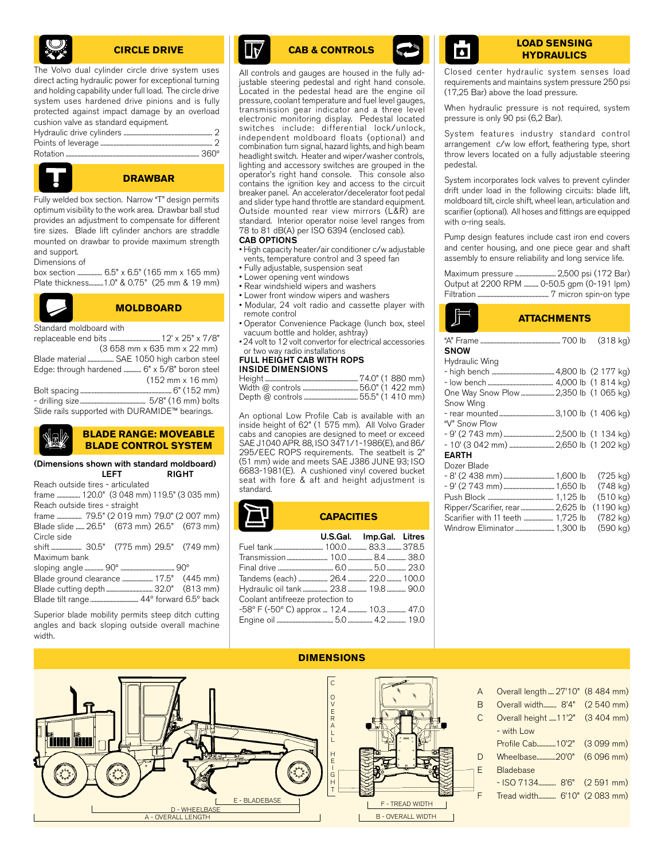

#### **CIRCLE DRIVE**

The Volvo dual cylinder circle drive system uses direct acting hydraulic power for exceptional turning and holding capability under full load. The circle drive system uses hardened drive pinions and is fully protected against impact damage by an overload cushion valve as standard equipment. Hydraulic drive cylinders ............................................................. 2

| $\frac{1}{2}$ , $\frac{1}{2}$ , $\frac{1}{2}$ , $\frac{1}{2}$ , $\frac{1}{2}$ , $\frac{1}{2}$ , $\frac{1}{2}$ , $\frac{1}{2}$ , $\frac{1}{2}$ , $\frac{1}{2}$ , $\frac{1}{2}$ , $\frac{1}{2}$ , $\frac{1}{2}$ , $\frac{1}{2}$ , $\frac{1}{2}$ , $\frac{1}{2}$ , $\frac{1}{2}$ , $\frac{1}{2}$ , $\frac{1$ |  |
|-----------------------------------------------------------------------------------------------------------------------------------------------------------------------------------------------------------------------------------------------------------------------------------------------------------|--|
|                                                                                                                                                                                                                                                                                                           |  |
|                                                                                                                                                                                                                                                                                                           |  |



#### **DRAWBAR**

Fully welded box section. Narrow "T" design permits optimum visibility to the work area. Drawbar ball stud provides an adjustment to compensate for different tire sizes. Blade lift cylinder anchors are straddle mounted on drawbar to provide maximum strength and support.

Dimensions of

Standard moldboard with

| box section  6.5" x 6.5" (165 mm x 165 mm)  |  |  |  |  |
|---------------------------------------------|--|--|--|--|
| Plate thickness1.0" & 0.75" (25 mm & 19 mm) |  |  |  |  |

replaceable end bits ................................... 12' x 25" x 7/8"

Blade material .................. SAE 1050 high carbon steel Edge: through hardened ............ 6" x 5/8" boron steel

Bolt spacing ............................................................... 6" (152 mm) - drilling size............................................. 5/8" (16 mm) bolts Slide rails supported with DURAMIDE™ bearings.

(Dimensions shown with standard moldboard)

frame ................ 120.0" (3 048 mm) 119.5" (3 035 mm)

frame ................. 79.5" (2 019 mm) 79.0" (2 007 mm) Blade slide ...... 26.5" (673 mm) 26.5" (673 mm)

shift ..................... 30.5" (775 mm) 29.5" (749 mm)

sloping angle ............. 90º ..................................... 90º Blade ground clearance ..................... 17.5" (445 mm) Blade cutting depth ................................ 32.0" (813 mm) Blade tilt range ................................. 44º forward 6.5º back Superior blade mobility permits steep ditch cutting angles and back sloping outside overall machine

Reach outside tires - articulated

Reach outside tires - straight

Circle side

width.

Maximum bank

LEFT RIGHT

**BLADE RANGE: MOVEABLE BLADE CONTROL SYSTEM**

(3 658 mm x 635 mm x 22 mm)

**MOLDBOARD**

(152 mm x 16 mm)

• Lower opening vent windows • Rear windshield wipers and washers • Lower front window wipers and washers

• Fully adjustable, suspension seat

CAB OPTIONS

 $\mathsf{I}\mathsf{R}$ 

• Modular, 24 volt radio and cassette player with remote control

• High capacity heater/air conditioner c/w adjustable vents, temperature control and 3 speed fan

All controls and gauges are housed in the fully adjustable steering pedestal and right hand console. Located in the pedestal head are the engine oil pressure, coolant temperature and fuel level gauges, transmission gear indicator and a three level electronic monitoring display. Pedestal located switches include: differential lock/unlock, independent moldboard floats (optional) and combination turn signal, hazard lights, and high beam headlight switch. Heater and wiper/washer controls, lighting and accessory switches are grouped in the operator's right hand console. This console also contains the ignition key and access to the circuit breaker panel. An accelerator/decelerator foot pedal and slider type hand throttle are standard equipment. Outside mounted rear view mirrors (L&R) are standard. Interior operator noise level ranges from 78 to 81 dB(A) per ISO 6394 (enclosed cab).

- •␣ Operator Convenience Package (lunch box, steel vacuum bottle and holder, ashtray)
- 24 volt to 12 volt convertor for electrical accessories or two way radio installations

#### FULL HEIGHT CAB WITH ROPS INSIDE DIMENSIONS

An optional Low Profile Cab is available with an inside height of 62" (1 575 mm). All Volvo Grader cabs and canopies are designed to meet or exceed SAE J1040 APR. 88, ISO 3471/1-1986(E), and 86/ 295/EEC ROPS requirements. The seatbelt is 2" (51 mm) wide and meets SAE J386 JUNE 93; ISO 6683-1981(E). A cushioned vinyl covered bucket seat with fore & aft and height adjustment is standard.

### **CAPACITIES**

|                                          | U.S.Gal. Imp.Gal. Litres |  |
|------------------------------------------|--------------------------|--|
|                                          |                          |  |
|                                          |                          |  |
|                                          |                          |  |
|                                          |                          |  |
| Hydraulic oil tank  23.8  19.8  90.0     |                          |  |
| Coolant antifreeze protection to         |                          |  |
| -58° F (-50° С) арргох  12.4  10.3  47.0 |                          |  |
|                                          |                          |  |
|                                          |                          |  |

#### **CAB & CONTROLS LOAD SENSING HYDRAULICS**

Closed center hydraulic system senses load requirements and maintains system pressure 250 psi (17,25 Bar) above the load pressure.

When hydraulic pressure is not required, system pressure is only 90 psi (6,2 Bar).

System features industry standard control arrangement c/w low effort, feathering type, short throw levers located on a fully adjustable steering pedestal.

System incorporates lock valves to prevent cylinder drift under load in the following circuits: blade lift, moldboard tilt, circle shift, wheel lean, articulation and scarifier (optional). All hoses and fittings are equipped with o-ring seals.

Pump design features include cast iron end covers and center housing, and one piece gear and shaft assembly to ensure reliability and long service life.

| Maximum pressure  2,500 psi (172 Bar)      |  |
|--------------------------------------------|--|
| Output at 2200 RPM  0-50.5 gpm (0-191 lpm) |  |
|                                            |  |

#### **ATTACHMENTS**

| <b>SNOW</b>                            | $(318 \text{ kg})$  |
|----------------------------------------|---------------------|
| Hydraulic Wing                         |                     |
|                                        |                     |
|                                        |                     |
| One Way Snow Plow  2,350 lb (1 065 kg) |                     |
| Snow Wing                              |                     |
|                                        |                     |
| "V" Snow Plow                          |                     |
|                                        |                     |
|                                        |                     |
| <b>EARTH</b>                           |                     |
| Dozer Blade                            |                     |
|                                        | $(725 \text{ kg})$  |
|                                        | (748 kg)            |
|                                        | $(510 \text{ kg})$  |
| Ripper/Scarifier, rear  2,625 lb       | $(1190 \text{ kg})$ |
| Scarifier with 11 teeth  1,725 lb      | $(782 \text{ kg})$  |
|                                        | $(590 \text{ kg})$  |

| A<br>B<br>D<br>E<br>E - BLADEBASE<br>F - TREAD WIDTH<br>D - WHEELBASE<br><b>B-OVERALL WIDTH</b><br>A - OVERALL LENGTH | Overall length  27'10" (8 484 mm)<br>Overall width 8'4" (2 540 mm)<br>Overall height  11'2" (3 404 mm)<br>- with Low<br>Profile Cab10'2" (3 099 mm)<br>Wheelbase20'0" (6 096 mm)<br>Bladebase<br>- ISO 7134 8'6" (2 591 mm)<br>Tread width 6'10" (2 083 mm) |  |
|-----------------------------------------------------------------------------------------------------------------------|-------------------------------------------------------------------------------------------------------------------------------------------------------------------------------------------------------------------------------------------------------------|--|
|-----------------------------------------------------------------------------------------------------------------------|-------------------------------------------------------------------------------------------------------------------------------------------------------------------------------------------------------------------------------------------------------------|--|

#### **DIMENSIONS**